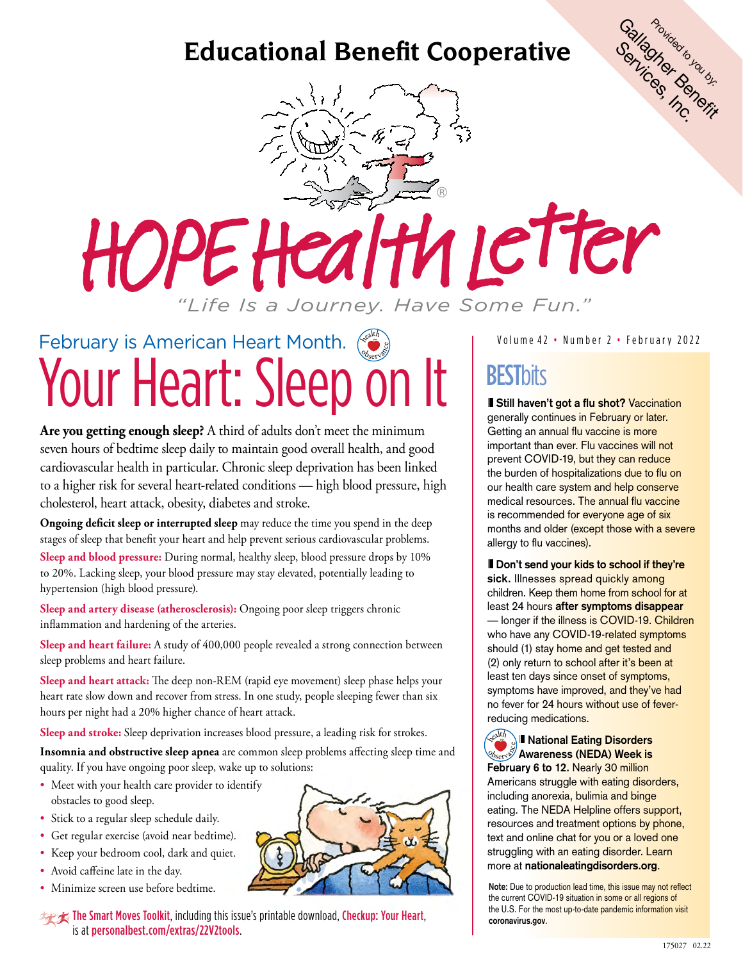

® **Hy Letter** HOPE *"Life Is a Journey. Have Some Fun."*

### February is American Heart Month.  $\int_{-\infty}^{\infty}$ Your Heart: Sleep on It BESTbits **Observance**

**Are you getting enough sleep?** A third of adults don't meet the minimum seven hours of bedtime sleep daily to maintain good overall health, and good cardiovascular health in particular. Chronic sleep deprivation has been linked to a higher risk for several heart-related conditions — high blood pressure, high cholesterol, heart attack, obesity, diabetes and stroke.

**Ongoing deficit sleep or interrupted sleep** may reduce the time you spend in the deep stages of sleep that benefit your heart and help prevent serious cardiovascular problems. **Sleep and blood pressure:** During normal, healthy sleep, blood pressure drops by 10% to 20%. Lacking sleep, your blood pressure may stay elevated, potentially leading to hypertension (high blood pressure).

**Sleep and artery disease (atherosclerosis):** Ongoing poor sleep triggers chronic inflammation and hardening of the arteries.

**Sleep and heart failure:** A study of 400,000 people revealed a strong connection between sleep problems and heart failure.

**Sleep and heart attack:** The deep non-REM (rapid eye movement) sleep phase helps your heart rate slow down and recover from stress. In one study, people sleeping fewer than six hours per night had a 20% higher chance of heart attack.

**Sleep and stroke:** Sleep deprivation increases blood pressure, a leading risk for strokes.

**Insomnia and obstructive sleep apnea** are common sleep problems affecting sleep time and quality. If you have ongoing poor sleep, wake up to solutions:

- Meet with your health care provider to identify obstacles to good sleep.
- Stick to a regular sleep schedule daily.
- Get regular exercise (avoid near bedtime).
- Keep your bedroom cool, dark and quiet.
- Avoid caffeine late in the day.
- Minimize screen use before bedtime.

The Smart Moves Toolkit, including this issue's printable download, Checkup: Your Heart, is at [personalbest.com/extras/22V2tools](http://personalbest.com/extras/22V2tools).

Volume 42 • Number 2 • February 2022

**Still haven't got a flu shot? Vaccination** generally continues in February or later. Getting an annual flu vaccine is more important than ever. Flu vaccines will not prevent COVID-19, but they can reduce the burden of hospitalizations due to flu on our health care system and help conserve medical resources. The annual flu vaccine is recommended for everyone age of six months and older (except those with a severe allergy to flu vaccines).

**Don't send your kids to school if they're sick.** Illnesses spread quickly among children. Keep them home from school for at least 24 hours **after symptoms disappear** — longer if the illness is COVID-19. Children who have any COVID-19-related symptoms should (1) stay home and get tested and (2) only return to school after it's been at least ten days since onset of symptoms, symptoms have improved, and they've had no fever for 24 hours without use of feverreducing medications.

**National Eating Disorders Awareness (NEDA) Week is** February 6 to 12. Nearly 30 million Americans struggle with eating disorders, including anorexia, bulimia and binge eating. The NEDA Helpline offers support, resources and treatment options by phone, text and online chat for you or a loved one struggling with an eating disorder. Learn more at **[nationaleatingdisorders.org](http://nationaleatingdisorders.org)**. <sup>h</sup>ealt<sup>h</sup>

**Note:** Due to production lead time, this issue may not reflect the current COVID-19 situation in some or all regions of the U.S. For the most up-to-date pandemic information visit **[coronavirus.gov](https://www.coronavirus.gov/)**.

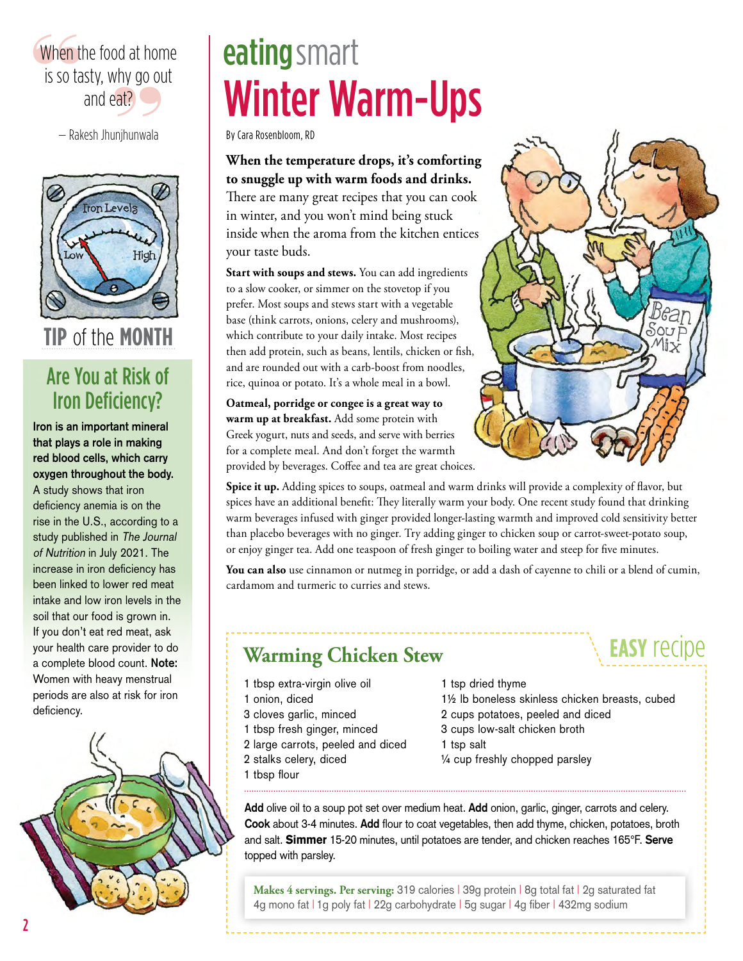### When t<br>is so ta er alset, marry general<br>and eat?<br>— Rakesh Jhunjhunwala When the food at home is so tasty, why go out and eat?



**tip** of the **month**

### Are You at Risk of Iron Deficiency?

**Iron is an important mineral that plays a role in making red blood cells, which carry oxygen throughout the body.**  A study shows that iron deficiency anemia is on the rise in the U.S., according to a study published in The Journal of Nutrition in July 2021. The increase in iron deficiency has been linked to lower red meat intake and low iron levels in the soil that our food is grown in. If you don't eat red meat, ask your health care provider to do a complete blood count. **Note:** Women with heavy menstrual periods are also at risk for iron deficiency.



## Winter Warm-Ups eating smart

By Cara Rosenbloom, RD

**When the temperature drops, it's comforting to snuggle up with warm foods and drinks.**  There are many great recipes that you can cook in winter, and you won't mind being stuck inside when the aroma from the kitchen entices your taste buds.

**Start with soups and stews.** You can add ingredients to a slow cooker, or simmer on the stovetop if you prefer. Most soups and stews start with a vegetable base (think carrots, onions, celery and mushrooms), which contribute to your daily intake. Most recipes then add protein, such as beans, lentils, chicken or fish, and are rounded out with a carb-boost from noodles, rice, quinoa or potato. It's a whole meal in a bowl.

**Oatmeal, porridge or congee is a great way to warm up at breakfast.** Add some protein with Greek yogurt, nuts and seeds, and serve with berries for a complete meal. And don't forget the warmth provided by beverages. Coffee and tea are great choices.



Spice it up. Adding spices to soups, oatmeal and warm drinks will provide a complexity of flavor, but spices have an additional benefit: They literally warm your body. One recent study found that drinking warm beverages infused with ginger provided longer-lasting warmth and improved cold sensitivity better than placebo beverages with no ginger. Try adding ginger to chicken soup or carrot-sweet-potato soup, or enjoy ginger tea. Add one teaspoon of fresh ginger to boiling water and steep for five minutes.

**You can also** use cinnamon or nutmeg in porridge, or add a dash of cayenne to chili or a blend of cumin, cardamom and turmeric to curries and stews.

### **Warming Chicken Stew**

- 1 tbsp extra-virgin olive oil
- 1 onion, diced
- 3 cloves garlic, minced
- 1 tbsp fresh ginger, minced
- 2 large carrots, peeled and diced
- 2 stalks celery, diced
- 1 tbsp flour

1 tsp dried thyme

1½ lb boneless skinless chicken breasts, cubed

**easy** recipe

- 2 cups potatoes, peeled and diced
- 3 cups low-salt chicken broth
- 1 tsp salt
- ¼ cup freshly chopped parsley

**Add** olive oil to a soup pot set over medium heat. **Add** onion, garlic, ginger, carrots and celery. **Cook** about 3-4 minutes. **Add** flour to coat vegetables, then add thyme, chicken, potatoes, broth and salt. Simmer 15-20 minutes, until potatoes are tender, and chicken reaches 165°F. **Serve** topped with parsley.

**Makes 4 servings. Per serving:** 319 calories | 39g protein | 8g total fat | 2g saturated fat 4g mono fat | 1g poly fat | 22g carbohydrate | 5g sugar | 4g fiber | 432mg sodium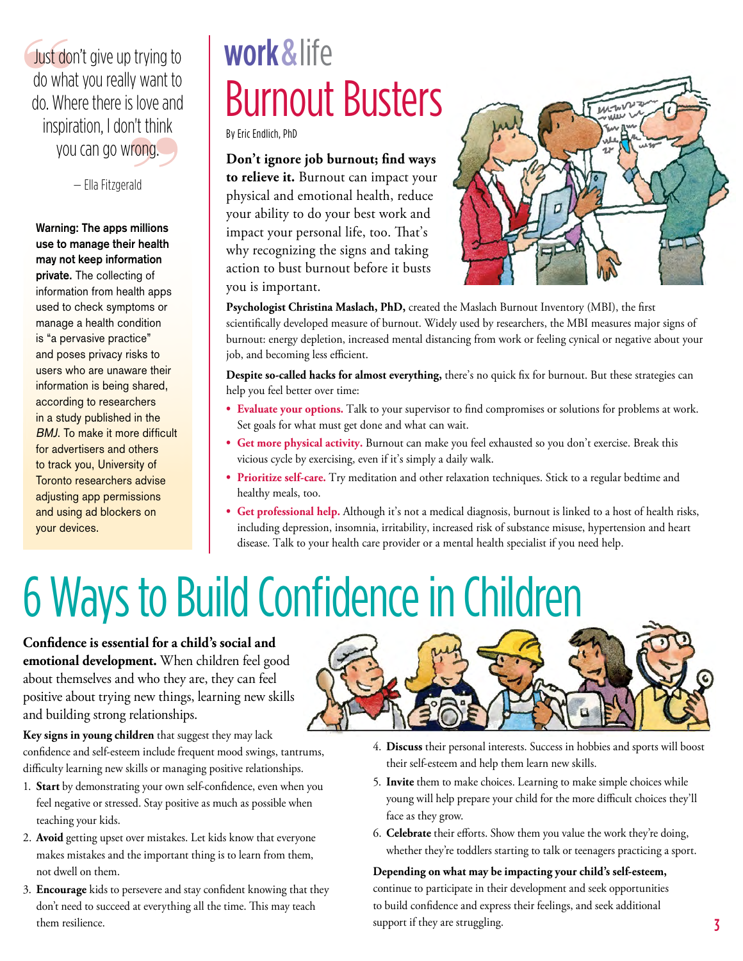you can go wrong.<br>
— Ella Fitzgerald Just do<br>do wha Just don't give up trying to do what you really want to do. Where there is love and inspiration, I don't think

— Ella Fitzgerald

**Warning: The apps millions use to manage their health may not keep information private.** The collecting of information from health apps used to check symptoms or manage a health condition is "a pervasive practice" and poses privacy risks to users who are unaware their information is being shared, according to researchers in a study published in the BMJ. To make it more difficult for advertisers and others to track you, University of Toronto researchers advise adjusting app permissions and using ad blockers on your devices.

## Burnout Busters work & life

By Eric Endlich, PhD

**Don't ignore job burnout; find ways to relieve it.** Burnout can impact your physical and emotional health, reduce your ability to do your best work and impact your personal life, too. That's why recognizing the signs and taking action to bust burnout before it busts you is important.



**Psychologist Christina Maslach, PhD,** created the Maslach Burnout Inventory (MBI), the first scientifically developed measure of burnout. Widely used by researchers, the MBI measures major signs of burnout: energy depletion, increased mental distancing from work or feeling cynical or negative about your job, and becoming less efficient.

**Despite so-called hacks for almost everything,** there's no quick fix for burnout. But these strategies can help you feel better over time:

- **• Evaluate your options.** Talk to your supervisor to find compromises or solutions for problems at work. Set goals for what must get done and what can wait.
- **• Get more physical activity.** Burnout can make you feel exhausted so you don't exercise. Break this vicious cycle by exercising, even if it's simply a daily walk.
- **• Prioritize self-care.** Try meditation and other relaxation techniques. Stick to a regular bedtime and healthy meals, too.
- **• Get professional help.** Although it's not a medical diagnosis, burnout is linked to a host of health risks, including depression, insomnia, irritability, increased risk of substance misuse, hypertension and heart disease. Talk to your health care provider or a mental health specialist if you need help.

# 6 Ways to Build Confidence in Children

**Confidence is essential for a child's social and emotional development.** When children feel good about themselves and who they are, they can feel positive about trying new things, learning new skills and building strong relationships.

**Key signs in young children** that suggest they may lack confidence and self-esteem include frequent mood swings, tantrums,

difficulty learning new skills or managing positive relationships.

- 1. **Start** by demonstrating your own self-confidence, even when you feel negative or stressed. Stay positive as much as possible when teaching your kids.
- 2. **Avoid** getting upset over mistakes. Let kids know that everyone makes mistakes and the important thing is to learn from them, not dwell on them.
- them resilience. **3** 3. **Encourage** kids to persevere and stay confident knowing that they don't need to succeed at everything all the time. This may teach



- 4. **Discuss** their personal interests. Success in hobbies and sports will boost their self-esteem and help them learn new skills.
- 5. **Invite** them to make choices. Learning to make simple choices while young will help prepare your child for the more difficult choices they'll face as they grow.
- 6. **Celebrate** their efforts. Show them you value the work they're doing, whether they're toddlers starting to talk or teenagers practicing a sport.

### **Depending on what may be impacting your child's self-esteem,**

continue to participate in their development and seek opportunities to build confidence and express their feelings, and seek additional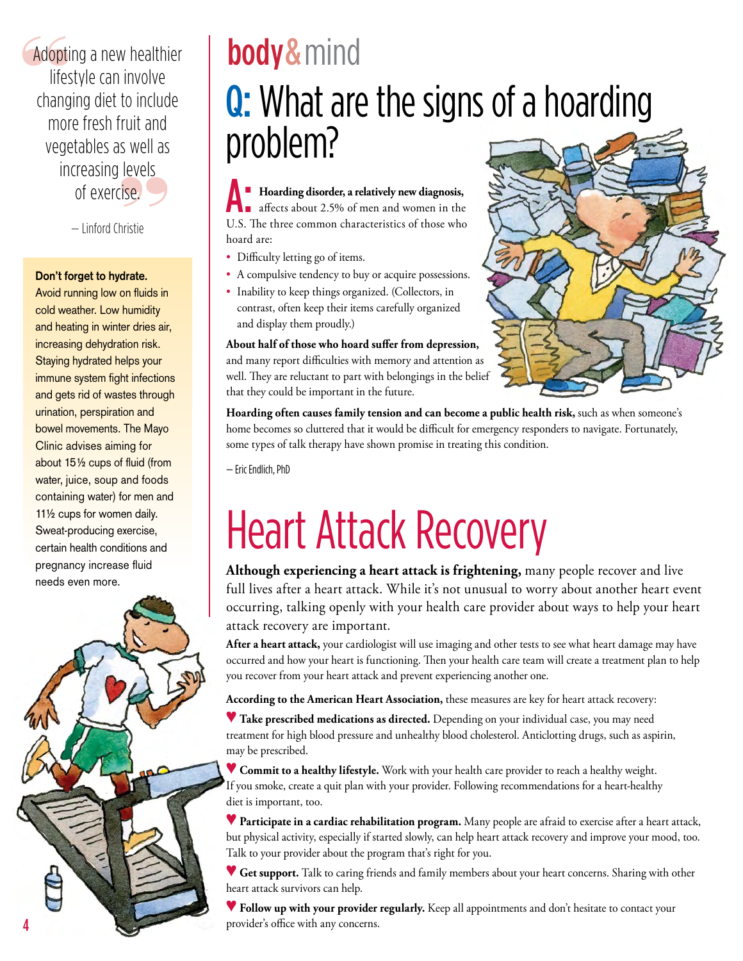reversible. Adopti Adopting a new healthier lifestyle can involve changing diet to include more fresh fruit and vegetables as well as increasing levels of exercise.

— Linford Christie

### **Don't forget to hydrate.**

Avoid running low on fluids in cold weather. Low humidity and heating in winter dries air, increasing dehydration risk. Staying hydrated helps your immune system fight infections and gets rid of wastes through urination, perspiration and bowel movements. The Mayo Clinic advises aiming for about 15½ cups of fluid (from water, juice, soup and foods containing water) for men and 11½ cups for women daily. Sweat-producing exercise, certain health conditions and pregnancy increase fluid needs even more.



## Q: What are the signs of a hoarding problem? body & mind

**Hoarding disorder, a relatively new diagnosis, affects about 2.5% of men and women in the** U.S. The three common characteristics of those who hoard are: A:

- Difficulty letting go of items.
- A compulsive tendency to buy or acquire possessions.
- Inability to keep things organized. (Collectors, in contrast, often keep their items carefully organized and display them proudly.)

**About half of those who hoard suffer from depression,**  and many report difficulties with memory and attention as well. They are reluctant to part with belongings in the belief that they could be important in the future.



**Hoarding often causes family tension and can become a public health risk,** such as when someone's home becomes so cluttered that it would be difficult for emergency responders to navigate. Fortunately, some types of talk therapy have shown promise in treating this condition.

— Eric Endlich, PhD

# Heart Attack Recovery

**Although experiencing a heart attack is frightening,** many people recover and live full lives after a heart attack. While it's not unusual to worry about another heart event occurring, talking openly with your health care provider about ways to help your heart attack recovery are important.

**After a heart attack,** your cardiologist will use imaging and other tests to see what heart damage may have occurred and how your heart is functioning. Then your health care team will create a treatment plan to help you recover from your heart attack and prevent experiencing another one.

**According to the American Heart Association,** these measures are key for heart attack recovery:

▼ **Take prescribed medications as directed.** Depending on your individual case, you may need treatment for high blood pressure and unhealthy blood cholesterol. Anticlotting drugs, such as aspirin, may be prescribed.

♥ **Commit to a healthy lifestyle.** Work with your health care provider to reach a healthy weight. If you smoke, create a quit plan with your provider. Following recommendations for a heart-healthy diet is important, too.

♥ **Participate in a cardiac rehabilitation program.** Many people are afraid to exercise after a heart attack, but physical activity, especially if started slowly, can help heart attack recovery and improve your mood, too. Talk to your provider about the program that's right for you.

♥ **Get support.** Talk to caring friends and family members about your heart concerns. Sharing with other heart attack survivors can help.

♥ **Follow up with your provider regularly.** Keep all appointments and don't hesitate to contact your provider's office with any concerns.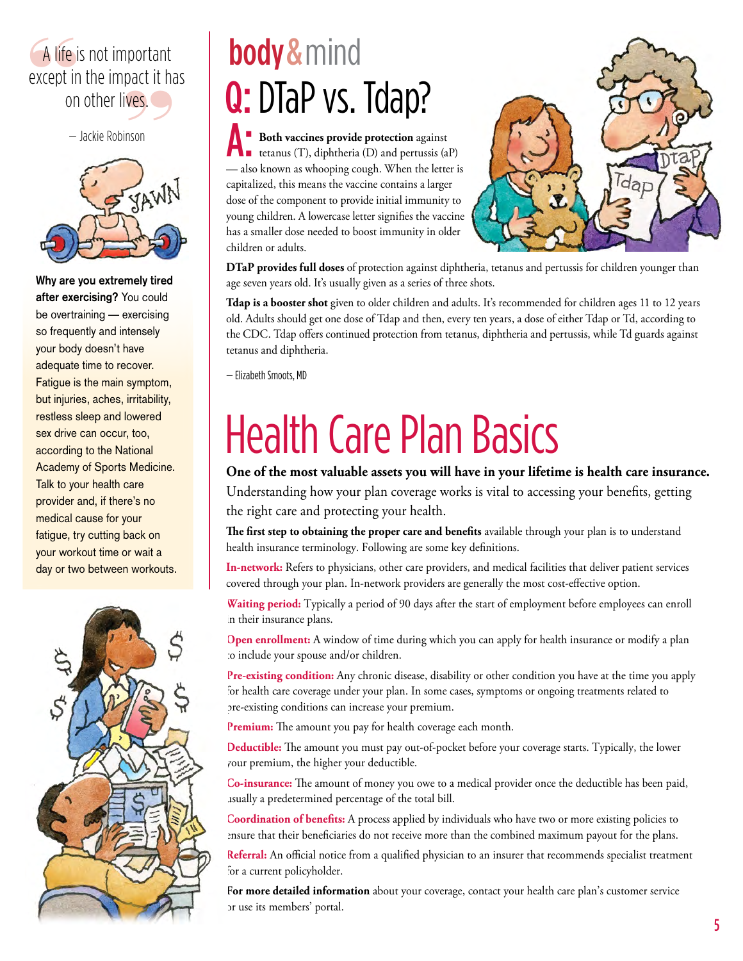### A life i on other lives.<br>
— Jackie Robinson A life is not important except in the impact it has

 $-$  Jackie Robinson



**Why are you extremely tired after exercising?** You could be overtraining — exercising so frequently and intensely your body doesn't have adequate time to recover. Fatigue is the main symptom, but injuries, aches, irritability, restless sleep and lowered sex drive can occur, too, according to the National Academy of Sports Medicine. Talk to your health care provider and, if there's no medical cause for your fatigue, try cutting back on your workout time or wait a day or two between workouts.



## Q: DTaP vs. Tdap? body & mind

**Both vaccines provide protection** against tetanus (T), diphtheria (D) and pertussis  $(aP)$ — also known as whooping cough. When the letter is capitalized, this means the vaccine contains a larger dose of the component to provide initial immunity to young children. A lowercase letter signifies the vaccine has a smaller dose needed to boost immunity in older children or adults.



**DTaP provides full doses** of protection against diphtheria, tetanus and pertussis for children younger than age seven years old. It's usually given as a series of three shots.

**Tdap is a booster shot** given to older children and adults. It's recommended for children ages 11 to 12 years old. Adults should get one dose of Tdap and then, every ten years, a dose of either Tdap or Td, according to the CDC. Tdap offers continued protection from tetanus, diphtheria and pertussis, while Td guards against tetanus and diphtheria.

— Elizabeth Smoots, MD

# Health Care Plan Basics

**One of the most valuable assets you will have in your lifetime is health care insurance.**

Understanding how your plan coverage works is vital to accessing your benefits, getting the right care and protecting your health.

**The first step to obtaining the proper care and benefits** available through your plan is to understand health insurance terminology. Following are some key definitions.

**In-network:** Refers to physicians, other care providers, and medical facilities that deliver patient services covered through your plan. In-network providers are generally the most cost-effective option.

**Waiting period:** Typically a period of 90 days after the start of employment before employees can enroll n their insurance plans.

**Open enrollment:** A window of time during which you can apply for health insurance or modify a plan to include your spouse and/or children.

**Pre-existing condition:** Any chronic disease, disability or other condition you have at the time you apply for health care coverage under your plan. In some cases, symptoms or ongoing treatments related to pre-existing conditions can increase your premium.

**Premium:** The amount you pay for health coverage each month.

**Deductible:** The amount you must pay out-of-pocket before your coverage starts. Typically, the lower your premium, the higher your deductible.

**Co-insurance:** The amount of money you owe to a medical provider once the deductible has been paid, usually a predetermined percentage of the total bill.

**Coordination of benefits:** A process applied by individuals who have two or more existing policies to ensure that their beneficiaries do not receive more than the combined maximum payout for the plans.

**Referral:** An official notice from a qualified physician to an insurer that recommends specialist treatment for a current policyholder.

**For more detailed information** about your coverage, contact your health care plan's customer service or use its members' portal.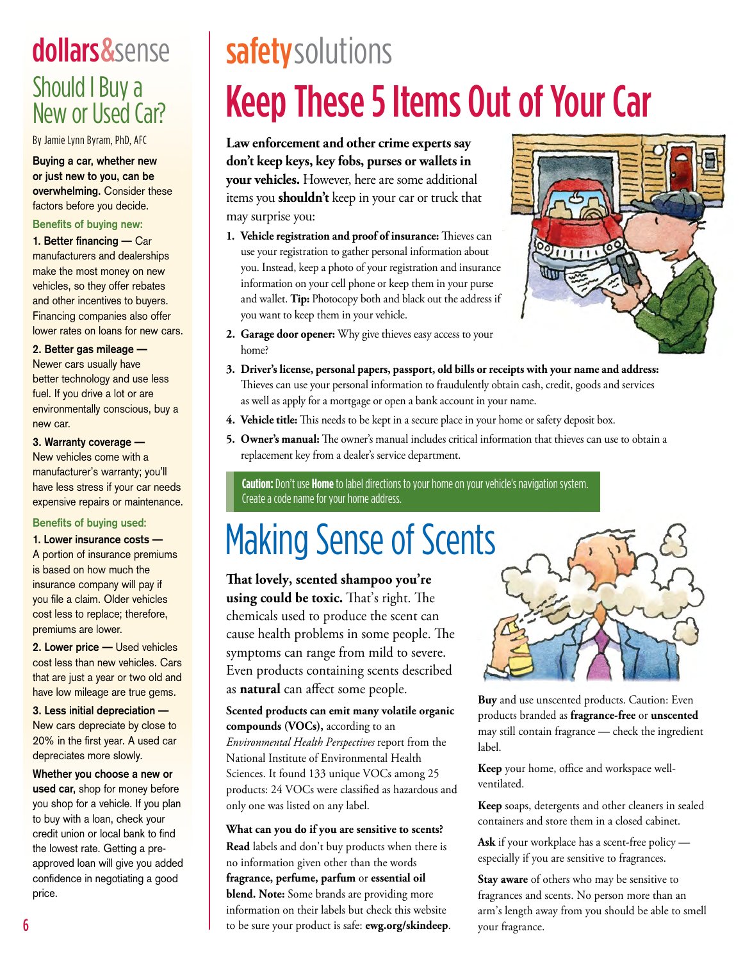### dollars& sense Should I Buy a New or Used Car?

By Jamie Lynn Byram, PhD, AFC

**Buying a car, whether new or just new to you, can be overwhelming.** Consider these factors before you decide.

#### **Benefits of buying new:**

1. Better financing - Car manufacturers and dealerships make the most money on new vehicles, so they offer rebates and other incentives to buyers. Financing companies also offer lower rates on loans for new cars.

**2. Better gas mileage —**  Newer cars usually have better technology and use less fuel. If you drive a lot or are environmentally conscious, buy a new car.

#### **3. Warranty coverage —**

New vehicles come with a manufacturer's warranty; you'll have less stress if your car needs expensive repairs or maintenance.

#### **Benefits of buying used:**

**1. Lower insurance costs —** 

A portion of insurance premiums is based on how much the insurance company will pay if you file a claim. Older vehicles cost less to replace; therefore, premiums are lower.

**2. Lower price —** Used vehicles cost less than new vehicles. Cars that are just a year or two old and have low mileage are true gems.

**3. Less initial depreciation —**  New cars depreciate by close to 20% in the first year. A used car depreciates more slowly.

**Whether you choose a new or used car,** shop for money before you shop for a vehicle. If you plan to buy with a loan, check your credit union or local bank to find the lowest rate. Getting a preapproved loan will give you added confidence in negotiating a good price.

## Keep These 5 Items Out of Your Car safety solutions

**Law enforcement and other crime experts say don't keep keys, key fobs, purses or wallets in your vehicles.** However, here are some additional items you **shouldn't** keep in your car or truck that may surprise you:

**1. Vehicle registration and proof of insurance:** Thieves can use your registration to gather personal information about you. Instead, keep a photo of your registration and insurance information on your cell phone or keep them in your purse and wallet. **Tip:** Photocopy both and black out the address if you want to keep them in your vehicle.



- **2. Garage door opener:** Why give thieves easy access to your home?
- **3. Driver's license, personal papers, passport, old bills or receipts with your name and address:**  Thieves can use your personal information to fraudulently obtain cash, credit, goods and services as well as apply for a mortgage or open a bank account in your name.
- **4. Vehicle title:** This needs to be kept in a secure place in your home or safety deposit box.
- **5. Owner's manual:** The owner's manual includes critical information that thieves can use to obtain a replacement key from a dealer's service department.

**Caution:** Don't use **Home** to label directions to your home on your vehicle's navigation system. Create a code name for your home address.

## Making Sense of Scents

**That lovely, scented shampoo you're using could be toxic.** That's right. The chemicals used to produce the scent can cause health problems in some people. The symptoms can range from mild to severe. Even products containing scents described as **natural** can affect some people.

**Scented products can emit many volatile organic compounds (VOCs),** according to an *Environmental Health Perspectives* report from the National Institute of Environmental Health Sciences. It found 133 unique VOCs among 25 products: 24 VOCs were classified as hazardous and only one was listed on any label.

#### **What can you do if you are sensitive to scents?**

**Read** labels and don't buy products when there is no information given other than the words **fragrance, perfume, parfum** or **essential oil blend. Note:** Some brands are providing more information on their labels but check this website to be sure your product is safe: **[ewg.org/skindeep](http://ewg.org/skindeep)**.



**Buy** and use unscented products. Caution: Even products branded as **fragrance-free** or **unscented** may still contain fragrance — check the ingredient label.

**Keep** your home, office and workspace wellventilated.

**Keep** soaps, detergents and other cleaners in sealed containers and store them in a closed cabinet.

**Ask** if your workplace has a scent-free policy especially if you are sensitive to fragrances.

**Stay aware** of others who may be sensitive to fragrances and scents. No person more than an arm's length away from you should be able to smell your fragrance.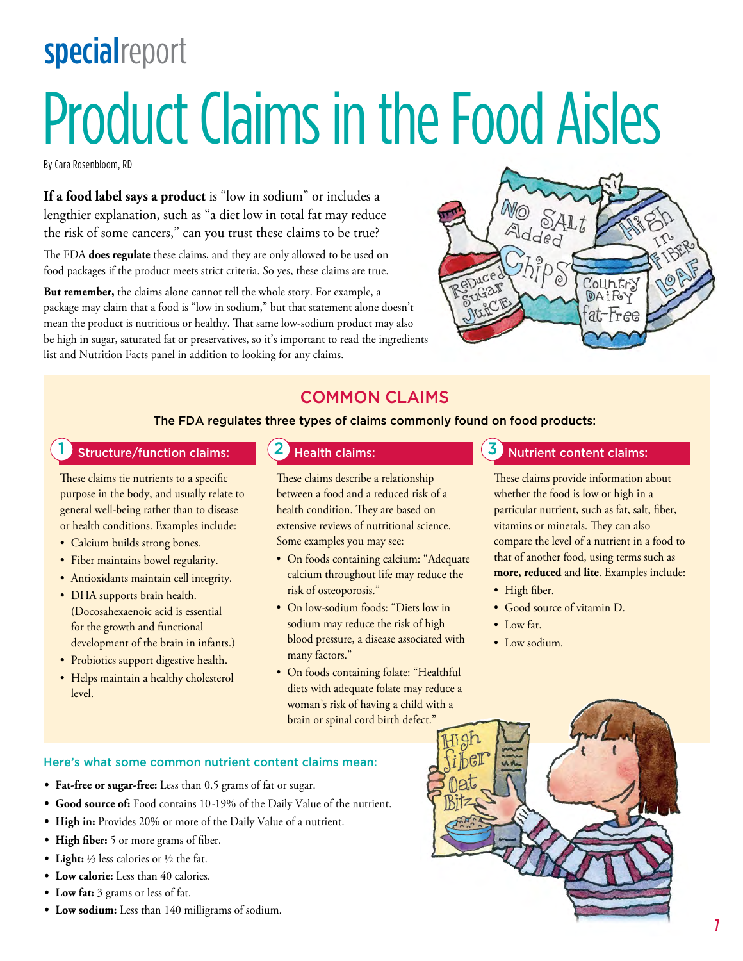# Product Claims in the Food Aisles **specialreport**

By Cara Rosenbloom, RD

**If a food label says a product** is "low in sodium" or includes a lengthier explanation, such as "a diet low in total fat may reduce the risk of some cancers," can you trust these claims to be true?

The FDA **does regulate** these claims, and they are only allowed to be used on food packages if the product meets strict criteria. So yes, these claims are true.

**But remember,** the claims alone cannot tell the whole story. For example, a package may claim that a food is "low in sodium," but that statement alone doesn't mean the product is nutritious or healthy. That same low-sodium product may also be high in sugar, saturated fat or preservatives, so it's important to read the ingredients list and Nutrition Facts panel in addition to looking for any claims.



### COMMON CLAIMS

The FDA regulates three types of claims commonly found on food products:

### Structure/function claims:  $\begin{pmatrix} 2 \end{pmatrix}$  Health claims:  $\begin{pmatrix} 3 \end{pmatrix}$  Nutrient content claims:

These claims tie nutrients to a specific purpose in the body, and usually relate to general well-being rather than to disease or health conditions. Examples include:

- Calcium builds strong bones.
- Fiber maintains bowel regularity.
- Antioxidants maintain cell integrity.
- DHA supports brain health. (Docosahexaenoic acid is essential for the growth and functional development of the brain in infants.)
- Probiotics support digestive health.
- Helps maintain a healthy cholesterol level.

These claims describe a relationship between a food and a reduced risk of a health condition. They are based on extensive reviews of nutritional science. Some examples you may see:

- On foods containing calcium: "Adequate calcium throughout life may reduce the risk of osteoporosis."
- On low-sodium foods: "Diets low in sodium may reduce the risk of high blood pressure, a disease associated with many factors."
- On foods containing folate: "Healthful diets with adequate folate may reduce a woman's risk of having a child with a brain or spinal cord birth defect."

These claims provide information about whether the food is low or high in a particular nutrient, such as fat, salt, fiber, vitamins or minerals. They can also compare the level of a nutrient in a food to that of another food, using terms such as **more, reduced** and **lite**. Examples include:

- High fiber.
- Good source of vitamin D.
- Low fat.
- Low sodium.

- Here's what some common nutrient content claims mean:
- **• Fat-free or sugar-free:** Less than 0.5 grams of fat or sugar.
- **• Good source of:** Food contains 10-19% of the Daily Value of the nutrient.
- **• High in:** Provides 20% or more of the Daily Value of a nutrient.
- **• High fiber:** 5 or more grams of fiber.
- **• Light:** ⅓ less calories or ½ the fat.
- **• Low calorie:** Less than 40 calories.
- **• Low fat:** 3 grams or less of fat.
- **• Low sodium:** Less than 140 milligrams of sodium.